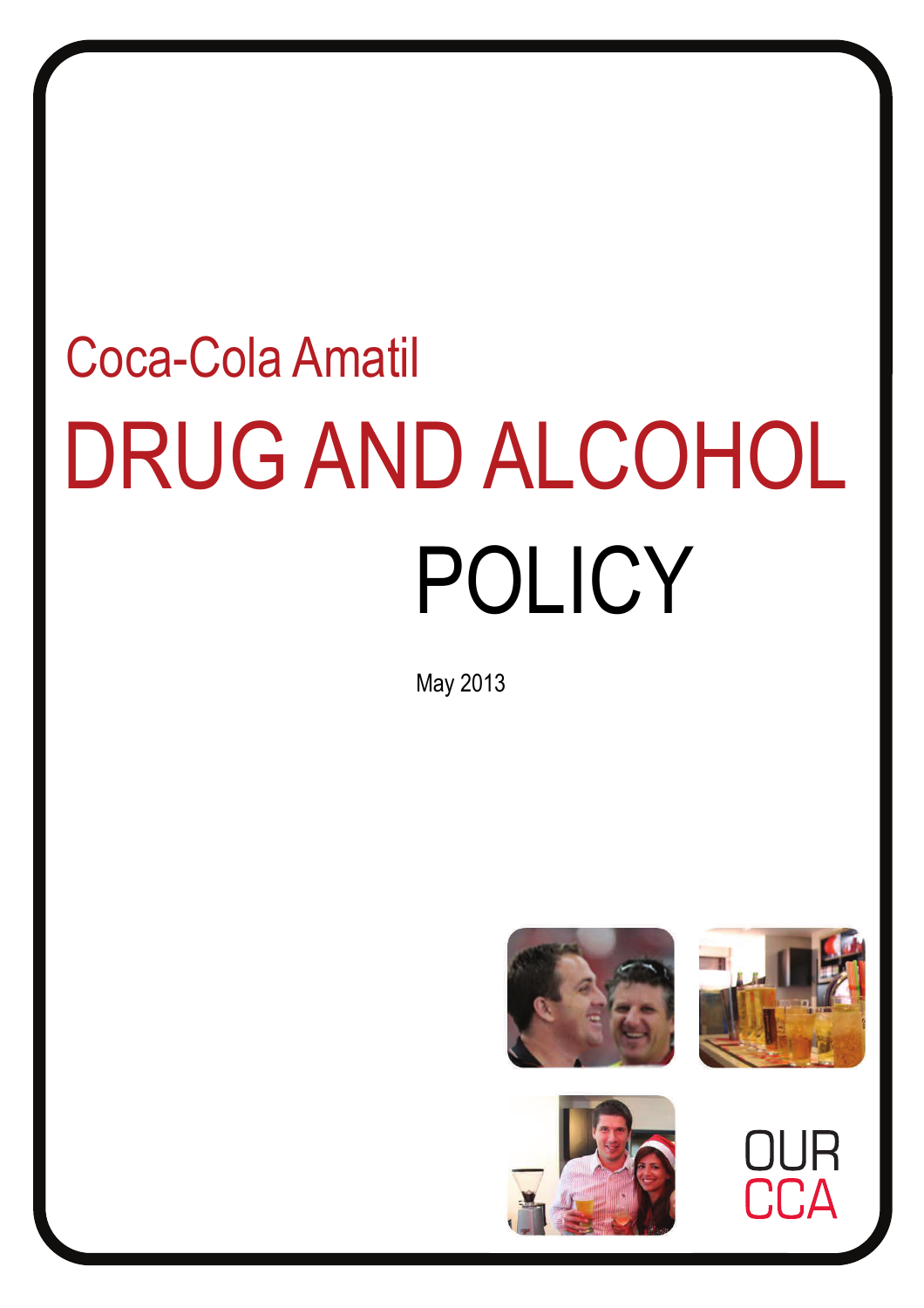# DRUG AND ALCOHOL POLICY Coca-Cola Amatil

May 2013





CA

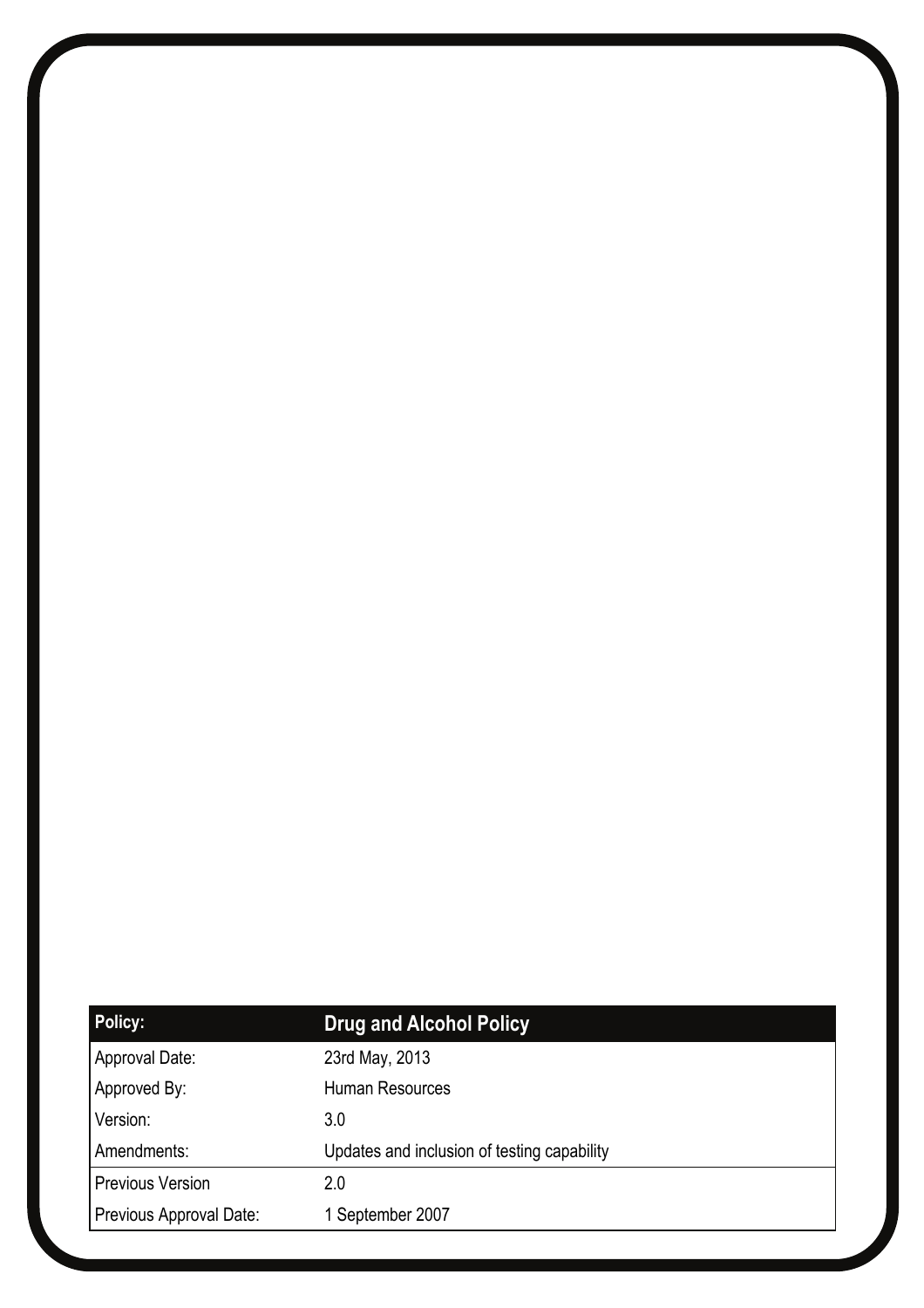| <b>Policy:</b>          | <b>Drug and Alcohol Policy</b>              |
|-------------------------|---------------------------------------------|
| Approval Date:          | 23rd May, 2013                              |
| Approved By:            | Human Resources                             |
| Version:                | 3.0                                         |
| Amendments:             | Updates and inclusion of testing capability |
| <b>Previous Version</b> | 2.0                                         |
| Previous Approval Date: | 1 September 2007                            |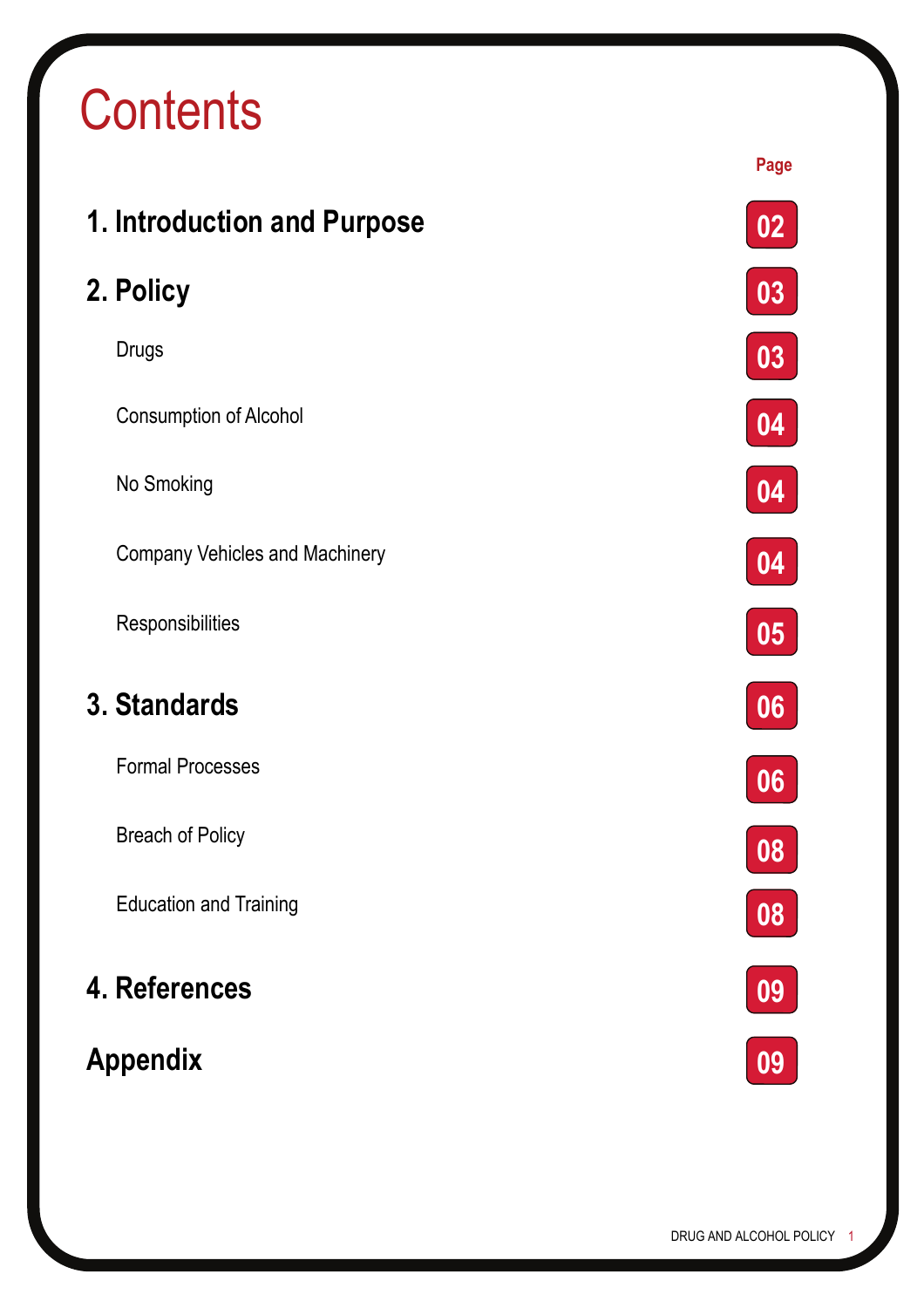## **Contents**

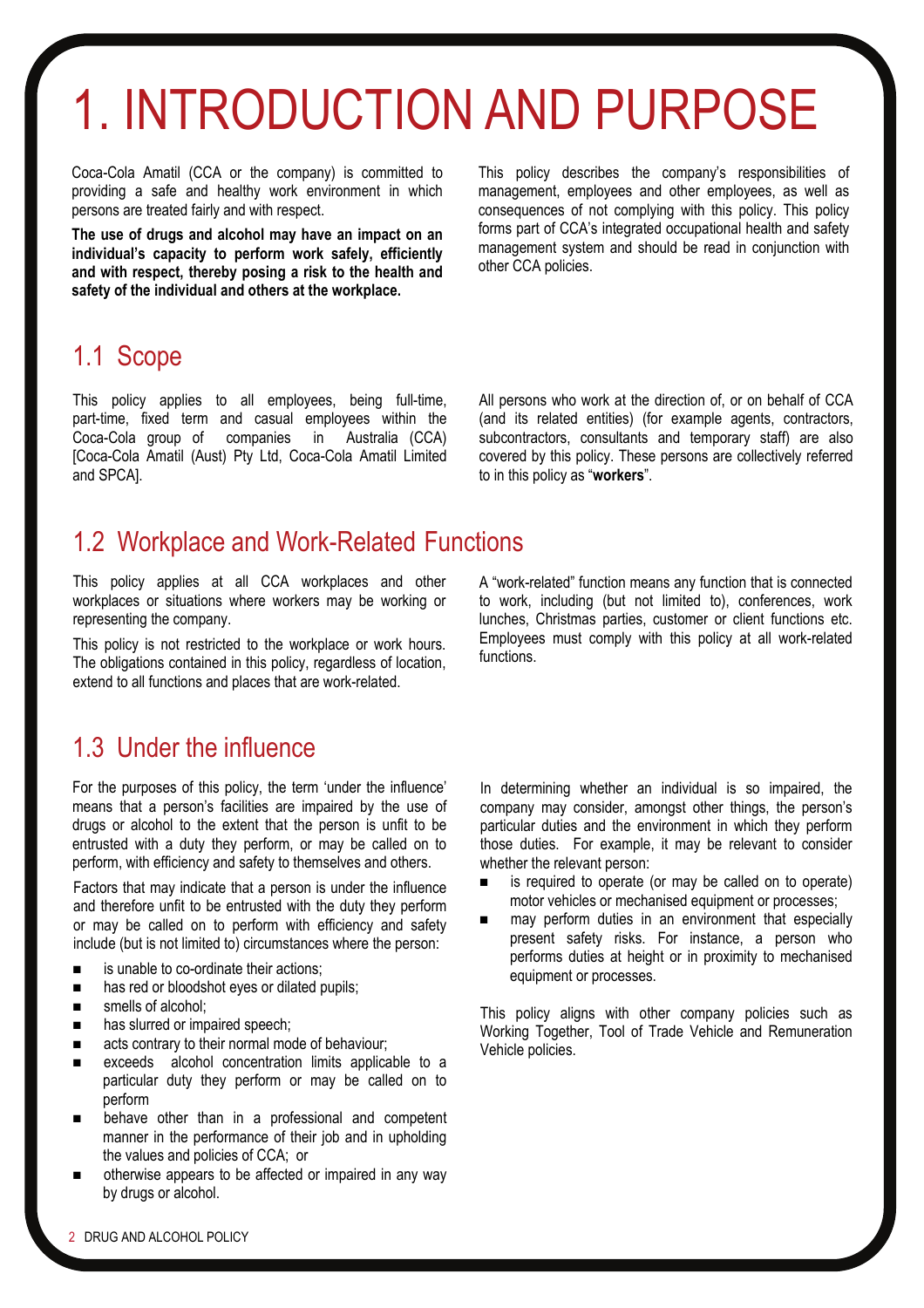## 1. INTRODUCTION AND PURPOSE

Coca-Cola Amatil (CCA or the company) is committed to providing a safe and healthy work environment in which persons are treated fairly and with respect.

**The use of drugs and alcohol may have an impact on an individual's capacity to perform work safely, efficiently and with respect, thereby posing a risk to the health and safety of the individual and others at the workplace.** 

This policy describes the company's responsibilities of management, employees and other employees, as well as consequences of not complying with this policy. This policy forms part of CCA's integrated occupational health and safety management system and should be read in conjunction with other CCA policies.

### 1.1 Scope

This policy applies to all employees, being full-time, part-time, fixed term and casual employees within the Coca-Cola group of companies in Australia (CCA) [Coca-Cola Amatil (Aust) Pty Ltd, Coca-Cola Amatil Limited and SPCA].

All persons who work at the direction of, or on behalf of CCA (and its related entities) (for example agents, contractors, subcontractors, consultants and temporary staff) are also covered by this policy. These persons are collectively referred to in this policy as "**workers**".

### 1.2 Workplace and Work-Related Functions

This policy applies at all CCA workplaces and other workplaces or situations where workers may be working or representing the company.

This policy is not restricted to the workplace or work hours. The obligations contained in this policy, regardless of location, extend to all functions and places that are work-related.

## 1.3 Under the influence

For the purposes of this policy, the term 'under the influence' means that a person's facilities are impaired by the use of drugs or alcohol to the extent that the person is unfit to be entrusted with a duty they perform, or may be called on to perform, with efficiency and safety to themselves and others.

Factors that may indicate that a person is under the influence and therefore unfit to be entrusted with the duty they perform or may be called on to perform with efficiency and safety include (but is not limited to) circumstances where the person:

- **EXECUTE:** is unable to co-ordinate their actions:
- $\blacksquare$  has red or bloodshot eyes or dilated pupils;
- smells of alcohol:
- **has slurred or impaired speech;**
- acts contrary to their normal mode of behaviour;
- exceeds alcohol concentration limits applicable to a particular duty they perform or may be called on to perform
- behave other than in a professional and competent manner in the performance of their job and in upholding the values and policies of CCA; or
- otherwise appears to be affected or impaired in any way by drugs or alcohol.

A "work-related" function means any function that is connected to work, including (but not limited to), conferences, work lunches, Christmas parties, customer or client functions etc. Employees must comply with this policy at all work-related functions.

In determining whether an individual is so impaired, the company may consider, amongst other things, the person's particular duties and the environment in which they perform those duties. For example, it may be relevant to consider whether the relevant person:

- is required to operate (or may be called on to operate) motor vehicles or mechanised equipment or processes;
- may perform duties in an environment that especially present safety risks. For instance, a person who performs duties at height or in proximity to mechanised equipment or processes.

This policy aligns with other company policies such as Working Together, Tool of Trade Vehicle and Remuneration Vehicle policies.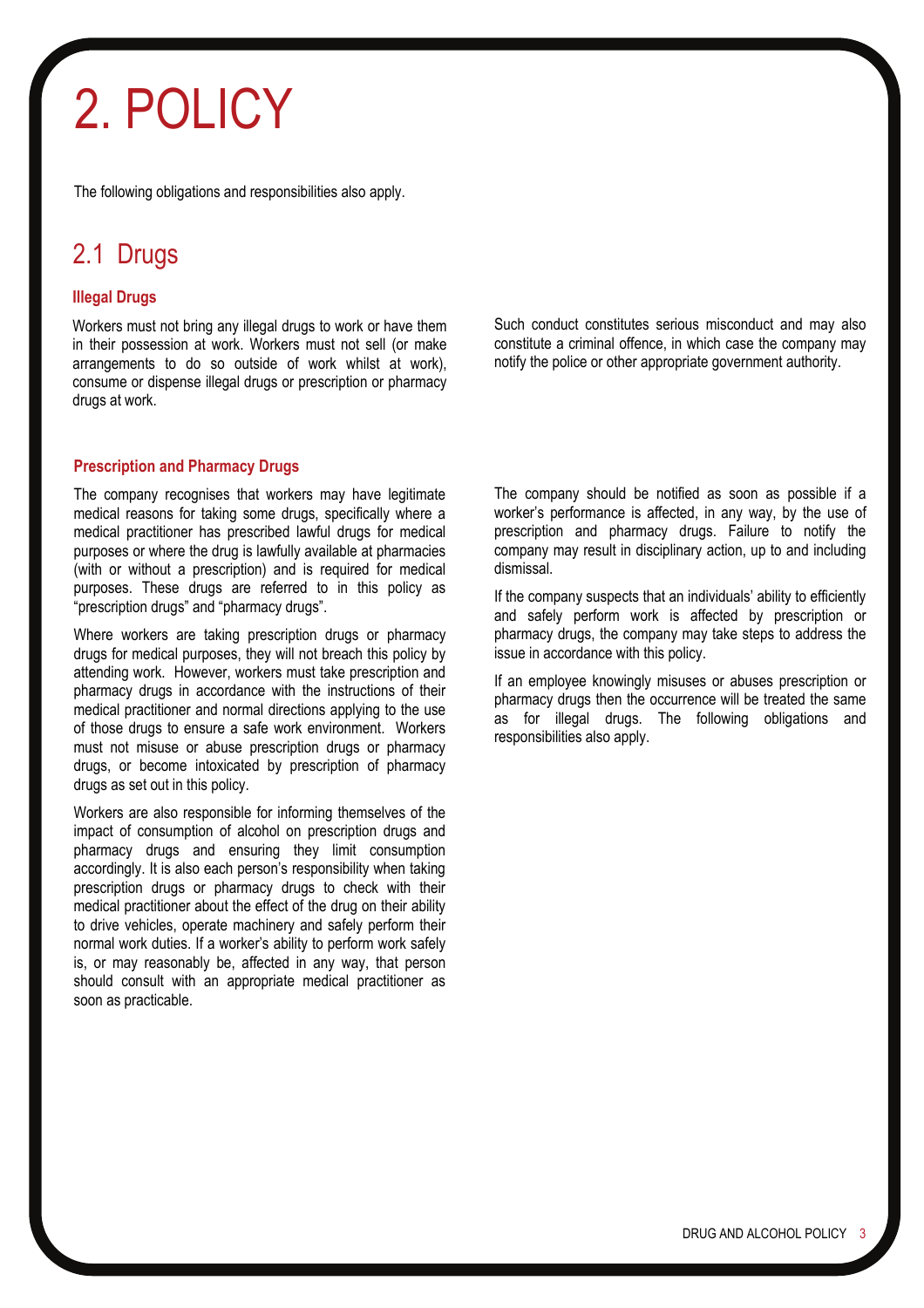## 2. POLICY

The following obligations and responsibilities also apply.

## 2.1 Drugs

#### **Illegal Drugs**

Workers must not bring any illegal drugs to work or have them in their possession at work. Workers must not sell (or make arrangements to do so outside of work whilst at work), consume or dispense illegal drugs or prescription or pharmacy drugs at work.

#### **Prescription and Pharmacy Drugs**

The company recognises that workers may have legitimate medical reasons for taking some drugs, specifically where a medical practitioner has prescribed lawful drugs for medical purposes or where the drug is lawfully available at pharmacies (with or without a prescription) and is required for medical purposes. These drugs are referred to in this policy as "prescription drugs" and "pharmacy drugs".

Where workers are taking prescription drugs or pharmacy drugs for medical purposes, they will not breach this policy by attending work. However, workers must take prescription and pharmacy drugs in accordance with the instructions of their medical practitioner and normal directions applying to the use of those drugs to ensure a safe work environment. Workers must not misuse or abuse prescription drugs or pharmacy drugs, or become intoxicated by prescription of pharmacy drugs as set out in this policy.

Workers are also responsible for informing themselves of the impact of consumption of alcohol on prescription drugs and pharmacy drugs and ensuring they limit consumption accordingly. It is also each person's responsibility when taking prescription drugs or pharmacy drugs to check with their medical practitioner about the effect of the drug on their ability to drive vehicles, operate machinery and safely perform their normal work duties. If a worker's ability to perform work safely is, or may reasonably be, affected in any way, that person should consult with an appropriate medical practitioner as soon as practicable.

Such conduct constitutes serious misconduct and may also constitute a criminal offence, in which case the company may notify the police or other appropriate government authority.

The company should be notified as soon as possible if a worker's performance is affected, in any way, by the use of prescription and pharmacy drugs. Failure to notify the company may result in disciplinary action, up to and including dismissal.

If the company suspects that an individuals' ability to efficiently and safely perform work is affected by prescription or pharmacy drugs, the company may take steps to address the issue in accordance with this policy.

If an employee knowingly misuses or abuses prescription or pharmacy drugs then the occurrence will be treated the same as for illegal drugs. The following obligations and responsibilities also apply.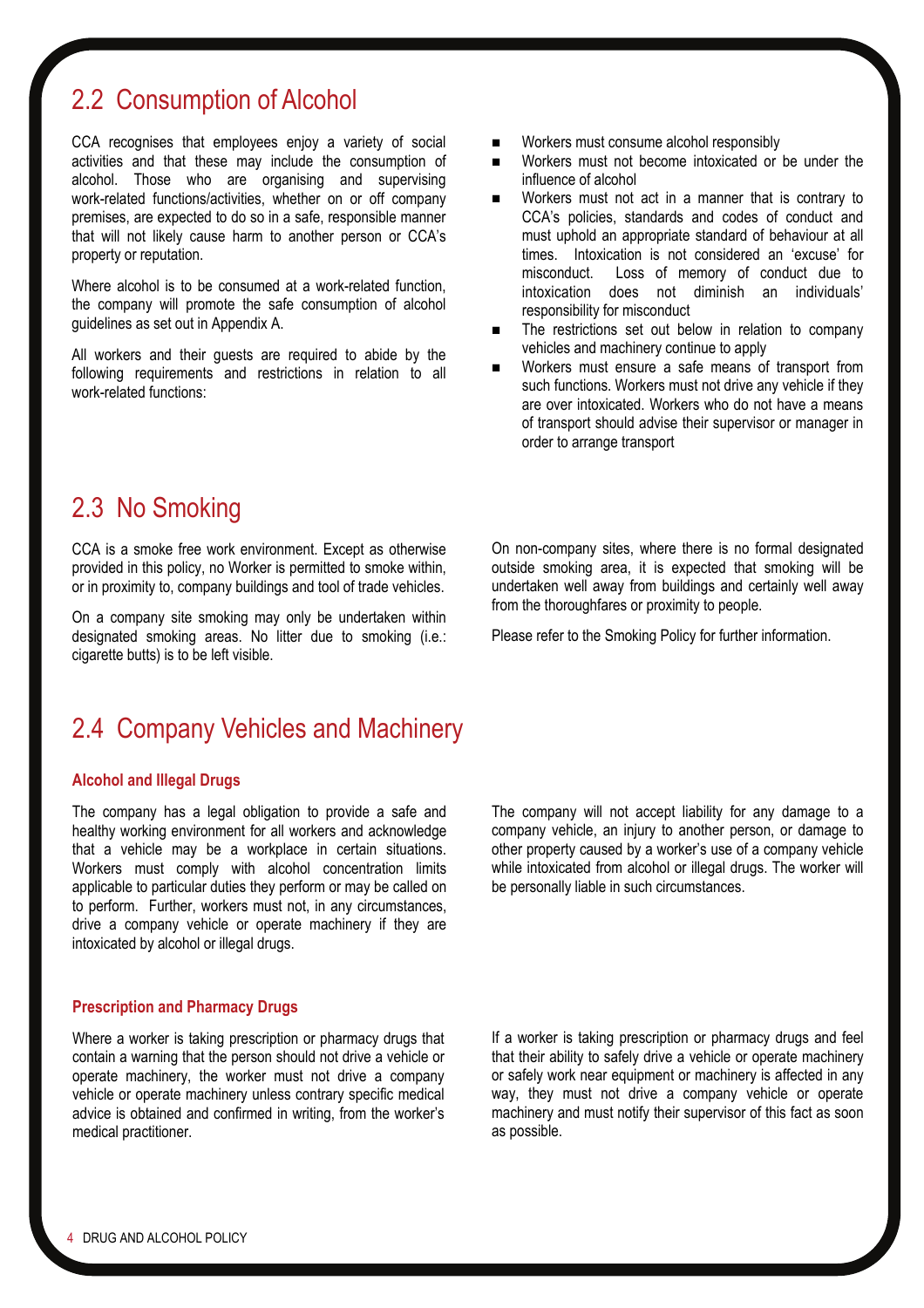## 2.2 Consumption of Alcohol

CCA recognises that employees enjoy a variety of social activities and that these may include the consumption of alcohol. Those who are organising and supervising work-related functions/activities, whether on or off company premises, are expected to do so in a safe, responsible manner that will not likely cause harm to another person or CCA's property or reputation.

Where alcohol is to be consumed at a work-related function. the company will promote the safe consumption of alcohol guidelines as set out in Appendix A.

All workers and their guests are required to abide by the following requirements and restrictions in relation to all work-related functions:

- Workers must consume alcohol responsibly
- Workers must not become intoxicated or be under the influence of alcohol
- Workers must not act in a manner that is contrary to CCA's policies, standards and codes of conduct and must uphold an appropriate standard of behaviour at all times. Intoxication is not considered an 'excuse' for misconduct. Loss of memory of conduct due to intoxication does not diminish an individuals' responsibility for misconduct
- The restrictions set out below in relation to company vehicles and machinery continue to apply
- Workers must ensure a safe means of transport from such functions. Workers must not drive any vehicle if they are over intoxicated. Workers who do not have a means of transport should advise their supervisor or manager in order to arrange transport

## 2.3 No Smoking

CCA is a smoke free work environment. Except as otherwise provided in this policy, no Worker is permitted to smoke within, or in proximity to, company buildings and tool of trade vehicles.

On a company site smoking may only be undertaken within designated smoking areas. No litter due to smoking (i.e.: cigarette butts) is to be left visible.

On non-company sites, where there is no formal designated outside smoking area, it is expected that smoking will be undertaken well away from buildings and certainly well away from the thoroughfares or proximity to people.

Please refer to the Smoking Policy for further information.

### 2.4 Company Vehicles and Machinery

#### **Alcohol and Illegal Drugs**

The company has a legal obligation to provide a safe and healthy working environment for all workers and acknowledge that a vehicle may be a workplace in certain situations. Workers must comply with alcohol concentration limits applicable to particular duties they perform or may be called on to perform. Further, workers must not, in any circumstances, drive a company vehicle or operate machinery if they are intoxicated by alcohol or illegal drugs.

#### **Prescription and Pharmacy Drugs**

Where a worker is taking prescription or pharmacy drugs that contain a warning that the person should not drive a vehicle or operate machinery, the worker must not drive a company vehicle or operate machinery unless contrary specific medical advice is obtained and confirmed in writing, from the worker's medical practitioner.

The company will not accept liability for any damage to a company vehicle, an injury to another person, or damage to other property caused by a worker's use of a company vehicle while intoxicated from alcohol or illegal drugs. The worker will be personally liable in such circumstances.

If a worker is taking prescription or pharmacy drugs and feel that their ability to safely drive a vehicle or operate machinery or safely work near equipment or machinery is affected in any way, they must not drive a company vehicle or operate machinery and must notify their supervisor of this fact as soon as possible.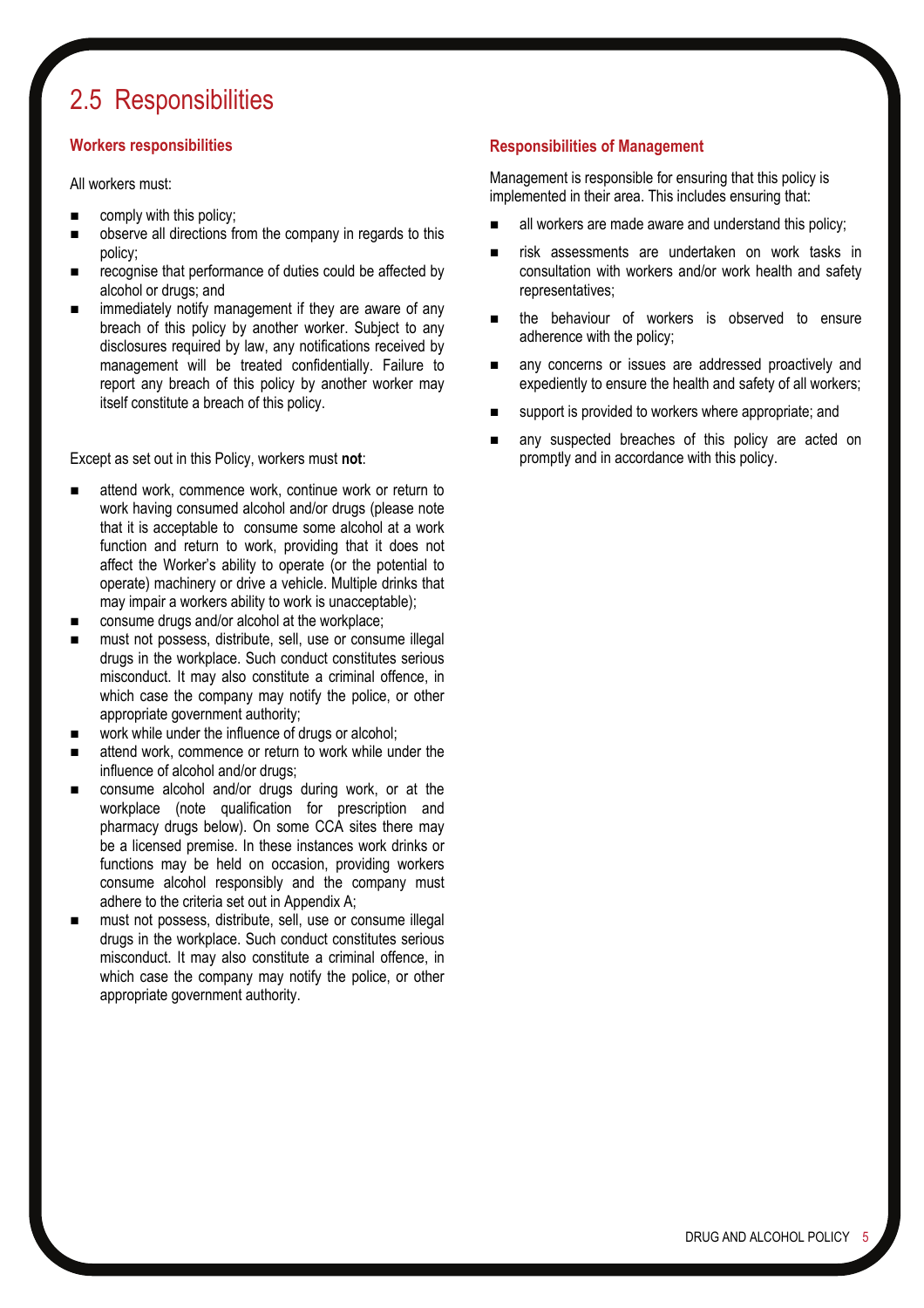## 2.5 Responsibilities

#### **Workers responsibilities**

All workers must:

- comply with this policy;
- observe all directions from the company in regards to this policy;
- recognise that performance of duties could be affected by alcohol or drugs; and
- immediately notify management if they are aware of any breach of this policy by another worker. Subject to any disclosures required by law, any notifications received by management will be treated confidentially. Failure to report any breach of this policy by another worker may itself constitute a breach of this policy.

Except as set out in this Policy, workers must **not**:

- attend work, commence work, continue work or return to work having consumed alcohol and/or drugs (please note that it is acceptable to consume some alcohol at a work function and return to work, providing that it does not affect the Worker's ability to operate (or the potential to operate) machinery or drive a vehicle. Multiple drinks that may impair a workers ability to work is unacceptable);
- consume drugs and/or alcohol at the workplace;
- must not possess, distribute, sell, use or consume illegal drugs in the workplace. Such conduct constitutes serious misconduct. It may also constitute a criminal offence, in which case the company may notify the police, or other appropriate government authority;
- work while under the influence of drugs or alcohol:
- attend work, commence or return to work while under the influence of alcohol and/or drugs;
- consume alcohol and/or drugs during work, or at the workplace (note qualification for prescription and pharmacy drugs below). On some CCA sites there may be a licensed premise. In these instances work drinks or functions may be held on occasion, providing workers consume alcohol responsibly and the company must adhere to the criteria set out in Appendix A;
- must not possess, distribute, sell, use or consume illegal drugs in the workplace. Such conduct constitutes serious misconduct. It may also constitute a criminal offence, in which case the company may notify the police, or other appropriate government authority.

#### **Responsibilities of Management**

Management is responsible for ensuring that this policy is implemented in their area. This includes ensuring that:

- all workers are made aware and understand this policy;
- risk assessments are undertaken on work tasks in consultation with workers and/or work health and safety representatives;
- the behaviour of workers is observed to ensure adherence with the policy;
- any concerns or issues are addressed proactively and expediently to ensure the health and safety of all workers;
- support is provided to workers where appropriate; and
- any suspected breaches of this policy are acted on promptly and in accordance with this policy.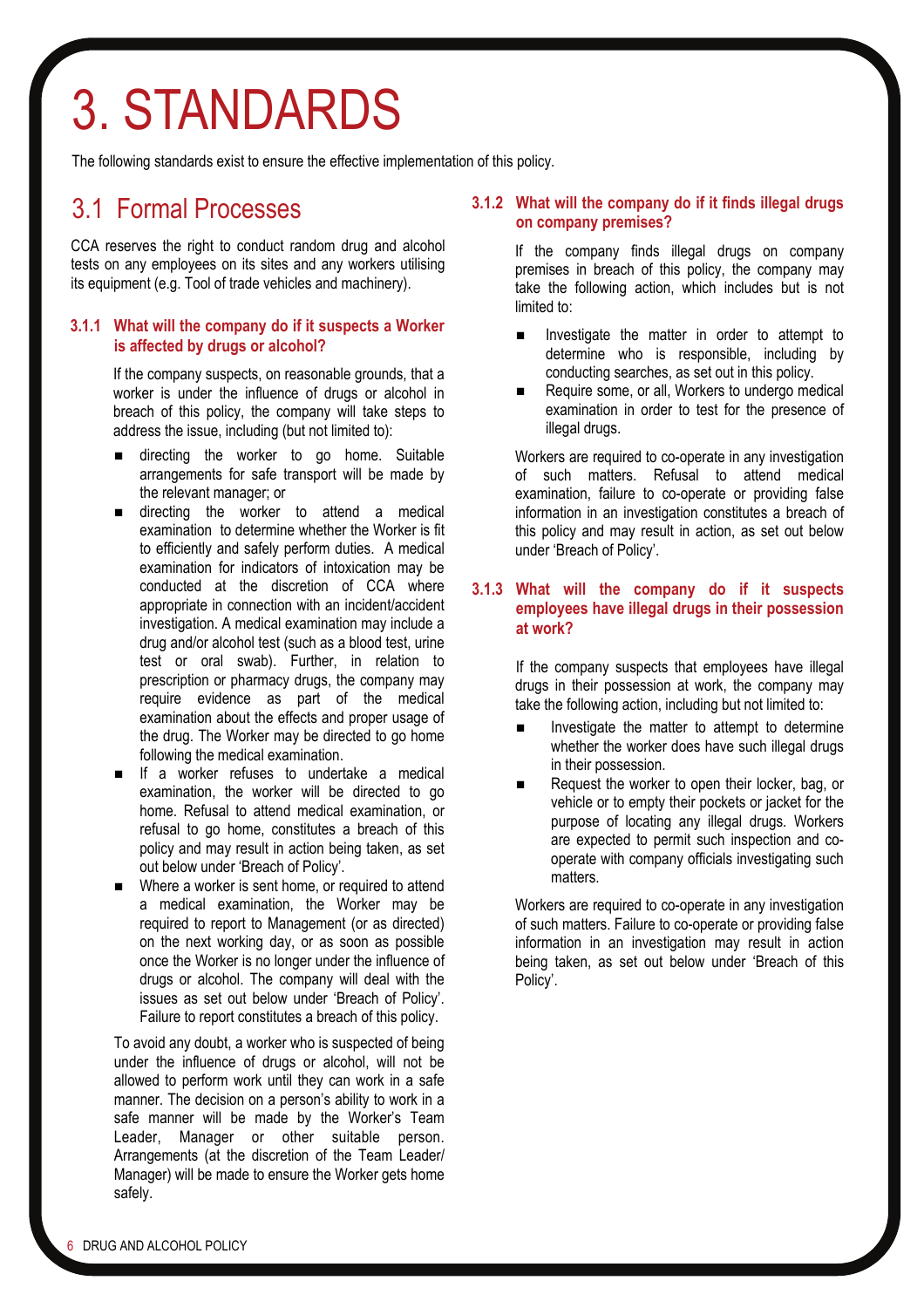## 3. STANDARDS

The following standards exist to ensure the effective implementation of this policy.

### 3.1 Formal Processes

CCA reserves the right to conduct random drug and alcohol tests on any employees on its sites and any workers utilising its equipment (e.g. Tool of trade vehicles and machinery).

#### **3.1.1 What will the company do if it suspects a Worker is affected by drugs or alcohol?**

If the company suspects, on reasonable grounds, that a worker is under the influence of drugs or alcohol in breach of this policy, the company will take steps to address the issue, including (but not limited to):

- **directing the worker to go home. Suitable** arrangements for safe transport will be made by the relevant manager; or
- $\blacksquare$  directing the worker to attend a medical examination to determine whether the Worker is fit to efficiently and safely perform duties. A medical examination for indicators of intoxication may be conducted at the discretion of CCA where appropriate in connection with an incident/accident investigation. A medical examination may include a drug and/or alcohol test (such as a blood test, urine test or oral swab). Further, in relation to prescription or pharmacy drugs, the company may require evidence as part of the medical examination about the effects and proper usage of the drug. The Worker may be directed to go home following the medical examination.
- **If** a worker refuses to undertake a medical examination, the worker will be directed to go home. Refusal to attend medical examination, or refusal to go home, constitutes a breach of this policy and may result in action being taken, as set out below under 'Breach of Policy'.
- Where a worker is sent home, or required to attend a medical examination, the Worker may be required to report to Management (or as directed) on the next working day, or as soon as possible once the Worker is no longer under the influence of drugs or alcohol. The company will deal with the issues as set out below under 'Breach of Policy'. Failure to report constitutes a breach of this policy.

To avoid any doubt, a worker who is suspected of being under the influence of drugs or alcohol, will not be allowed to perform work until they can work in a safe manner. The decision on a person's ability to work in a safe manner will be made by the Worker's Team Leader, Manager or other suitable person. Arrangements (at the discretion of the Team Leader/ Manager) will be made to ensure the Worker gets home safely.

#### **3.1.2 What will the company do if it finds illegal drugs on company premises?**

If the company finds illegal drugs on company premises in breach of this policy, the company may take the following action, which includes but is not limited to:

- **Investigate the matter in order to attempt to** determine who is responsible, including by conducting searches, as set out in this policy.
- Require some, or all, Workers to undergo medical examination in order to test for the presence of illegal drugs.

 Workers are required to co-operate in any investigation of such matters. Refusal to attend medical examination, failure to co-operate or providing false information in an investigation constitutes a breach of this policy and may result in action, as set out below under 'Breach of Policy'.

#### **3.1.3 What will the company do if it suspects employees have illegal drugs in their possession at work?**

If the company suspects that employees have illegal drugs in their possession at work, the company may take the following action, including but not limited to:

- Investigate the matter to attempt to determine whether the worker does have such illegal drugs in their possession.
- Request the worker to open their locker, bag, or vehicle or to empty their pockets or jacket for the purpose of locating any illegal drugs. Workers are expected to permit such inspection and cooperate with company officials investigating such matters.

 Workers are required to co-operate in any investigation of such matters. Failure to co-operate or providing false information in an investigation may result in action being taken, as set out below under 'Breach of this Policy'.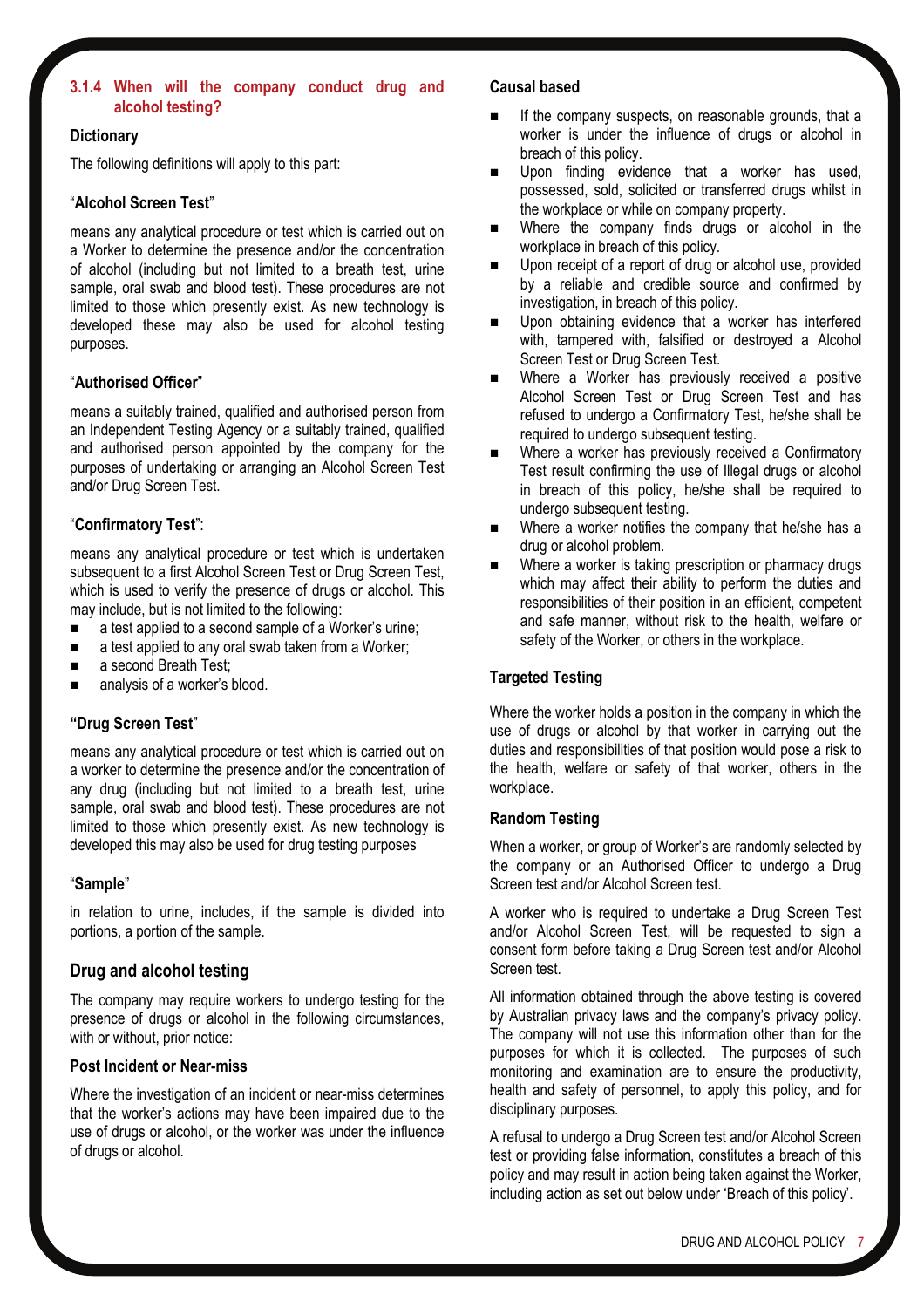#### **3.1.4 When will the company conduct drug and alcohol testing?**

#### **Dictionary**

The following definitions will apply to this part:

#### "**Alcohol Screen Test**"

means any analytical procedure or test which is carried out on a Worker to determine the presence and/or the concentration of alcohol (including but not limited to a breath test, urine sample, oral swab and blood test). These procedures are not limited to those which presently exist. As new technology is developed these may also be used for alcohol testing purposes.

#### "**Authorised Officer**"

means a suitably trained, qualified and authorised person from an Independent Testing Agency or a suitably trained, qualified and authorised person appointed by the company for the purposes of undertaking or arranging an Alcohol Screen Test and/or Drug Screen Test.

#### "**Confirmatory Test**":

means any analytical procedure or test which is undertaken subsequent to a first Alcohol Screen Test or Drug Screen Test, which is used to verify the presence of drugs or alcohol. This may include, but is not limited to the following:

- a test applied to a second sample of a Worker's urine;
- a test applied to any oral swab taken from a Worker;
- a second Breath Test;
- analysis of a worker's blood.

#### **"Drug Screen Test**"

means any analytical procedure or test which is carried out on a worker to determine the presence and/or the concentration of any drug (including but not limited to a breath test, urine sample, oral swab and blood test). These procedures are not limited to those which presently exist. As new technology is developed this may also be used for drug testing purposes

#### "**Sample**"

in relation to urine, includes, if the [sample](http://www.austlii.edu.au/au/legis/nsw/consol_reg/rsaatr2003426/s3.html#sample) is divided into portions, a portion of the [sample](http://www.austlii.edu.au/au/legis/nsw/consol_reg/rsaatr2003426/s3.html#sample).

#### **Drug and alcohol testing**

The company may require workers to undergo testing for the presence of drugs or alcohol in the following circumstances, with or without, prior notice:

#### **Post Incident or Near-miss**

Where the investigation of an incident or near-miss determines that the worker's actions may have been impaired due to the use of drugs or alcohol, or the worker was under the influence of drugs or alcohol.

#### **Causal based**

- If the company suspects, on reasonable grounds, that a worker is under the influence of drugs or alcohol in breach of this policy.
- Upon finding evidence that a worker has used, possessed, sold, solicited or transferred drugs whilst in the workplace or while on company property.
- Where the company finds drugs or alcohol in the workplace in breach of this policy.
- Upon receipt of a report of drug or alcohol use, provided by a reliable and credible source and confirmed by investigation, in breach of this policy.
- Upon obtaining evidence that a worker has interfered with, tampered with, falsified or destroyed a Alcohol Screen Test or Drug Screen Test.
- **NH** Where a Worker has previously received a positive Alcohol Screen Test or Drug Screen Test and has refused to undergo a Confirmatory Test, he/she shall be required to undergo subsequent testing.
- Where a worker has previously received a Confirmatory Test result confirming the use of Illegal drugs or alcohol in breach of this policy, he/she shall be required to undergo subsequent testing.
- Where a worker notifies the company that he/she has a drug or alcohol problem.
- Where a worker is taking prescription or pharmacy drugs which may affect their ability to perform the duties and responsibilities of their position in an efficient, competent and safe manner, without risk to the health, welfare or safety of the Worker, or others in the workplace.

#### **Targeted Testing**

Where the worker holds a position in the company in which the use of drugs or alcohol by that worker in carrying out the duties and responsibilities of that position would pose a risk to the health, welfare or safety of that worker, others in the workplace.

#### **Random Testing**

When a worker, or group of Worker's are randomly selected by the company or an Authorised Officer to undergo a Drug Screen test and/or Alcohol Screen test.

A worker who is required to undertake a Drug Screen Test and/or Alcohol Screen Test, will be requested to sign a consent form before taking a Drug Screen test and/or Alcohol Screen test.

All information obtained through the above testing is covered by Australian privacy laws and the company's privacy policy. The company will not use this information other than for the purposes for which it is collected. The purposes of such monitoring and examination are to ensure the productivity, health and safety of personnel, to apply this policy, and for disciplinary purposes.

A refusal to undergo a Drug Screen test and/or Alcohol Screen test or providing false information, constitutes a breach of this policy and may result in action being taken against the Worker, including action as set out below under 'Breach of this policy'.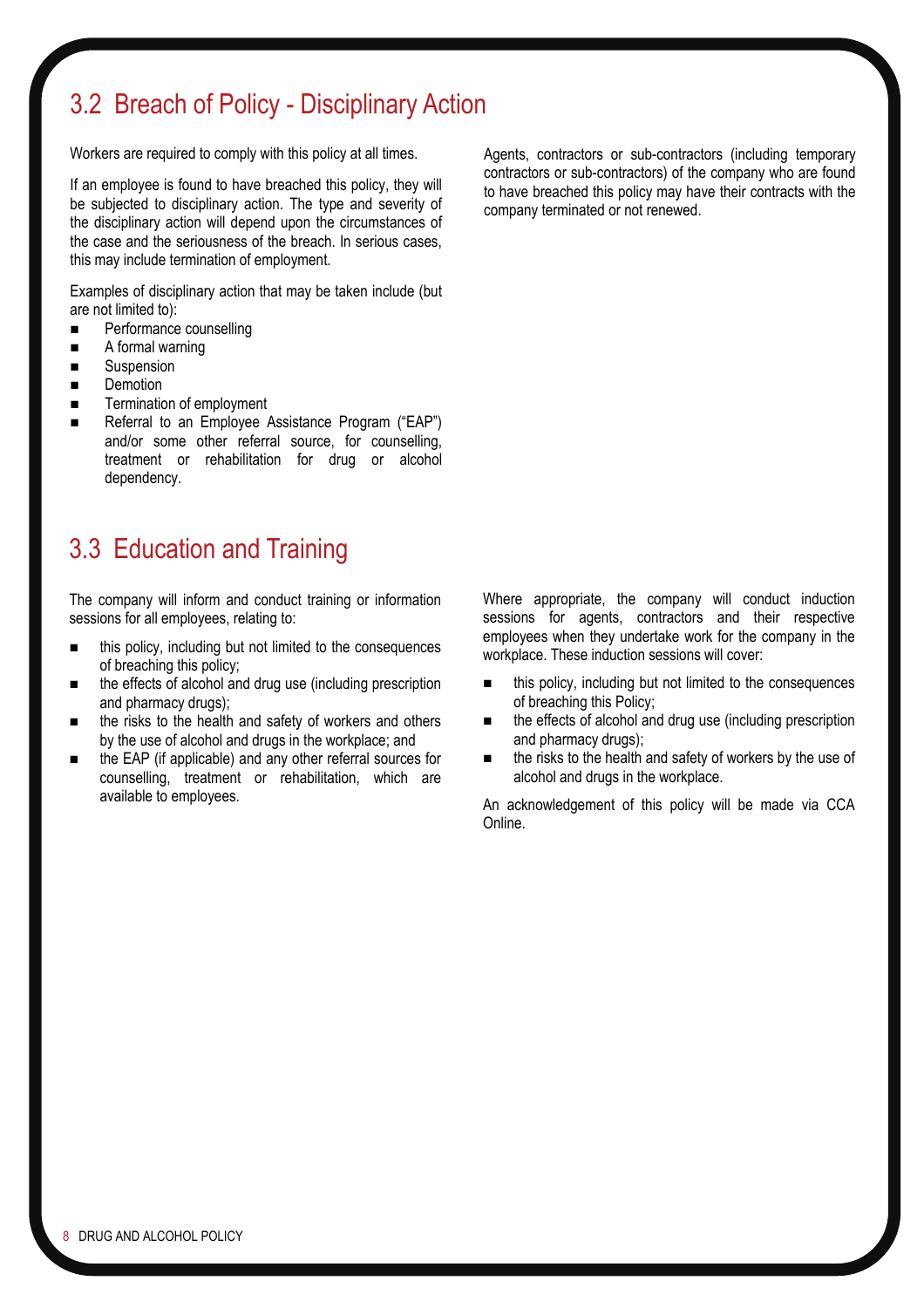## 3.2 Breach of Policy - Disciplinary Action

Workers are required to comply with this policy at all times.

If an employee is found to have breached this policy, they will be subjected to disciplinary action. The type and severity of the disciplinary action will depend upon the circumstances of the case and the seriousness of the breach. In serious cases, this may include termination of employment.

Examples of disciplinary action that may be taken include (but are not limited to):

- **Performance counselling**
- A formal warning
- Suspension
- Demotion
- Termination of employment
- Referral to an Employee Assistance Program ("EAP") and/or some other referral source, for counselling, treatment or rehabilitation for drug or alcohol dependency.

## 3.3 Education and Training

The company will inform and conduct training or information sessions for all employees, relating to:

- this policy, including but not limited to the consequences of breaching this policy;
- the effects of alcohol and drug use (including prescription and pharmacy drugs);
- the risks to the health and safety of workers and others by the use of alcohol and drugs in the workplace; and
- the EAP (if applicable) and any other referral sources for counselling, treatment or rehabilitation, which are available to employees.

Where appropriate, the company will conduct induction sessions for agents, contractors and their respective employees when they undertake work for the company in the workplace. These induction sessions will cover:

- this policy, including but not limited to the consequences of breaching this Policy;
- the effects of alcohol and drug use (including prescription and pharmacy drugs);
- the risks to the health and safety of workers by the use of alcohol and drugs in the workplace.

An acknowledgement of this policy will be made via CCA Online.

Agents, contractors or sub-contractors (including temporary contractors or sub-contractors) of the company who are found to have breached this policy may have their contracts with the company terminated or not renewed.